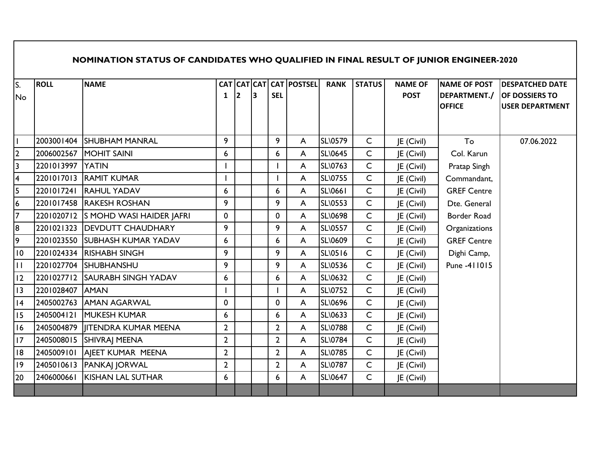## **NOMINATION STATUS OF CANDIDATES WHO QUALIFIED IN FINAL RESULT OF JUNIOR ENGINEER-2020**

| S.<br><b>No</b> | <b>ROLL</b>      | <b>NAME</b>                         | 1              | 13 | <b>SEL</b>     | CAT CAT CAT CAT POSTSEL | <b>RANK</b>    | <b>STATUS</b> | <b>NAME OF</b><br><b>POST</b> | <b>NAME OF POST</b><br>DEPARTMENT./<br><b>OFFICE</b> | <b>DESPATCHED DATE</b><br><b>OF DOSSIERS TO</b><br><b>USER DEPARTMENT</b> |
|-----------------|------------------|-------------------------------------|----------------|----|----------------|-------------------------|----------------|---------------|-------------------------------|------------------------------------------------------|---------------------------------------------------------------------------|
|                 |                  | 2003001404 SHUBHAM MANRAL           | 9              |    | 9              | A                       | <b>SL\0579</b> | $\mathsf{C}$  | JE (Civil)                    | To                                                   | 07.06.2022                                                                |
| 2               |                  | 2006002567 MOHIT SAINI              | 6              |    | 6              | A                       | <b>SL\0645</b> | $\mathsf{C}$  | JE (Civil)                    | Col. Karun                                           |                                                                           |
| 3               | 2201013997 YATIN |                                     |                |    |                | A                       | SL\0763        | $\mathsf{C}$  | JE (Civil)                    | Pratap Singh                                         |                                                                           |
| 4               |                  | 2201017013 RAMIT KUMAR              |                |    |                | A                       | SL\0755        | $\mathsf{C}$  | JE (Civil)                    | Commandant,                                          |                                                                           |
| 5               |                  | 2201017241 RAHUL YADAV              | 6              |    | 6              | A                       | <b>SL\0661</b> | $\mathsf{C}$  | JE (Civil)                    | <b>GREF Centre</b>                                   |                                                                           |
| 6               |                  | 2201017458 RAKESH ROSHAN            | 9              |    | 9              | A                       | <b>SL\0553</b> | $\mathsf{C}$  | JE (Civil)                    | Dte. General                                         |                                                                           |
| 7               |                  | 2201020712 S MOHD WASI HAIDER JAFRI | 0              |    | 0              | A                       | <b>SL\0698</b> | $\mathsf{C}$  | JE (Civil)                    | Border Road                                          |                                                                           |
| 8               |                  | 2201021323   DEVDUTT CHAUDHARY      | 9              |    | 9              | A                       | <b>SL\0557</b> | $\mathsf{C}$  | JE (Civil)                    | Organizations                                        |                                                                           |
| 9               |                  | 2201023550 SUBHASH KUMAR YADAV      | 6              |    | 6              | A                       | <b>SL\0609</b> | $\mathsf{C}$  | JE (Civil)                    | <b>GREF Centre</b>                                   |                                                                           |
| 10              |                  | 2201024334 RISHABH SINGH            | 9              |    | 9              | A                       | <b>SL\0516</b> | $\mathsf{C}$  |                               |                                                      |                                                                           |
| $\mathbf{H}$    |                  |                                     | 9              |    | 9              |                         | SL\0536        | $\mathsf{C}$  | JE (Civil)                    | Dighi Camp,<br>Pune -411015                          |                                                                           |
|                 |                  | 2201027704 SHUBHANSHU               |                |    |                | A                       |                | $\mathsf{C}$  | JE (Civil)                    |                                                      |                                                                           |
| 12              |                  | 2201027712 SAURABH SINGH YADAV      | 6              |    | 6              | A                       | SL\0632        |               | JE (Civil)                    |                                                      |                                                                           |
| 3               | 2201028407 AMAN  |                                     |                |    |                | A                       | <b>SL\0752</b> | $\mathsf{C}$  | JE (Civil)                    |                                                      |                                                                           |
| 4               |                  | 2405002763 AMAN AGARWAL             | 0              |    | 0              | A                       | <b>SL\0696</b> | $\mathsf{C}$  | JE (Civil)                    |                                                      |                                                                           |
| 15              | 2405004121       | <b>MUKESH KUMAR</b>                 | 6              |    | 6              | A                       | SL\0633        | $\mathsf{C}$  | JE (Civil)                    |                                                      |                                                                           |
| 16              |                  | 2405004879   ITENDRA KUMAR MEENA    | $\overline{2}$ |    | $\overline{2}$ | A                       | <b>SL\0788</b> | $\mathsf{C}$  | JE (Civil)                    |                                                      |                                                                           |
| 7               |                  | 2405008015  SHIVRAJ MEENA           | $\overline{2}$ |    | $\overline{2}$ | A                       | <b>SL\0784</b> | $\mathsf{C}$  | JE (Civil)                    |                                                      |                                                                           |
| 18              | 2405009101       | AIEET KUMAR MEENA                   | $\overline{2}$ |    | $\overline{2}$ | A                       | <b>SL\0785</b> | $\mathsf{C}$  | JE (Civil)                    |                                                      |                                                                           |
| 9               |                  | 2405010613 PANKAJ JORWAL            | $2^{\circ}$    |    | $\overline{2}$ | A                       | <b>SL\0787</b> | $\mathsf{C}$  | JE (Civil)                    |                                                      |                                                                           |
| 20              | 2406000661       | <b>KISHAN LAL SUTHAR</b>            | 6              |    | 6              | A                       | <b>SL\0647</b> | $\mathsf{C}$  | JE (Civil)                    |                                                      |                                                                           |
|                 |                  |                                     |                |    |                |                         |                |               |                               |                                                      |                                                                           |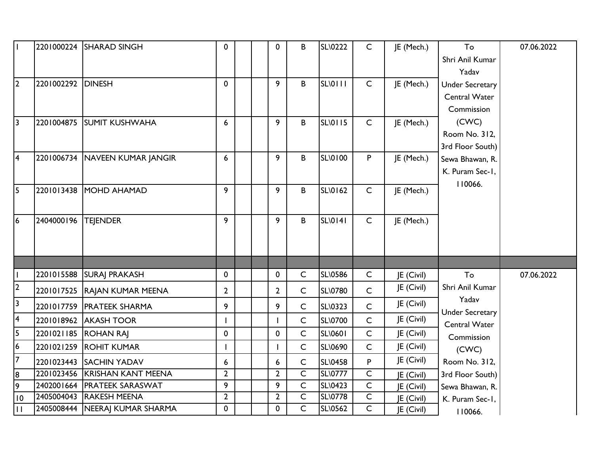| lı.                     |                   | 2201000224 SHARAD SINGH          | 0              | $\mathbf 0$    | B              | SL\0222        | $\mathsf{C}$   | JE (Mech.) | To                              | 07.06.2022 |
|-------------------------|-------------------|----------------------------------|----------------|----------------|----------------|----------------|----------------|------------|---------------------------------|------------|
|                         |                   |                                  |                |                |                |                |                |            | Shri Anil Kumar                 |            |
|                         |                   |                                  |                |                |                |                |                |            | Yadav                           |            |
| $\overline{2}$          | 2201002292 DINESH |                                  | $\mathbf 0$    | 9              | B              | SL\0111        | $\mathsf{C}$   | JE (Mech.) | <b>Under Secretary</b>          |            |
|                         |                   |                                  |                |                |                |                |                |            | Central Water                   |            |
|                         |                   |                                  |                |                |                |                |                |            | Commission                      |            |
| $\sqrt{3}$              | 2201004875        | <b>SUMIT KUSHWAHA</b>            | 6              | 9              | B              | <b>SL\0115</b> | $\mathsf{C}$   | JE (Mech.) | (CWC)                           |            |
|                         |                   |                                  |                |                |                |                |                |            | Room No. 312,                   |            |
|                         |                   |                                  |                |                |                |                |                |            | 3rd Floor South)                |            |
| $\overline{4}$          |                   | 2201006734 NAVEEN KUMAR JANGIR   | 6              | 9              | $\, {\bf B}$   | <b>SL\0100</b> | P              | JE (Mech.) | Sewa Bhawan, R.                 |            |
|                         |                   |                                  |                |                |                |                |                |            | K. Puram Sec-1,                 |            |
| l5                      | 2201013438        | MOHD AHAMAD                      | 9              | 9              | B              | <b>SL\0162</b> | $\mathsf{C}$   | JE (Mech.) | 110066.                         |            |
|                         |                   |                                  |                |                |                |                |                |            |                                 |            |
|                         |                   |                                  |                |                |                |                |                |            |                                 |            |
| 6                       | 2404000196        | <b>TEJENDER</b>                  | 9              | 9              | B              | <b>SL\0141</b> | $\mathsf{C}$   | JE (Mech.) |                                 |            |
|                         |                   |                                  |                |                |                |                |                |            |                                 |            |
|                         |                   |                                  |                |                |                |                |                |            |                                 |            |
|                         |                   |                                  |                |                |                |                |                |            |                                 |            |
|                         |                   | 2201015588 SURAJ PRAKASH         | $\mathbf 0$    | 0              | $\mathsf C$    | <b>SL\0586</b> | $\mathsf{C}$   | JE (Civil) | To                              | 07.06.2022 |
| $\overline{2}$          |                   | 2201017525 RAJAN KUMAR MEENA     | $\overline{2}$ | $\overline{2}$ | $\mathsf{C}$   | <b>SL\0780</b> | $\mathsf{C}$   | JE (Civil) | Shri Anil Kumar                 |            |
| $\overline{3}$          |                   | 2201017759   PRATEEK SHARMA      | 9              | 9              | $\mathsf{C}$   | SL\0323        | $\mathsf{C}$   | JE (Civil) | Yadav<br><b>Under Secretary</b> |            |
| $\sqrt{4}$              |                   | 2201018962 AKASH TOOR            |                |                | $\mathsf{C}$   | <b>SL\0700</b> | $\mathsf{C}$   | JE (Civil) | Central Water                   |            |
| 5                       |                   | 2201021185 ROHAN RAJ             | $\mathbf 0$    | $\mathbf 0$    | $\mathsf C$    | <b>SL\0601</b> | $\mathsf{C}$   | JE (Civil) | Commission                      |            |
| $\overline{6}$          |                   | 2201021259 ROHIT KUMAR           |                |                | $\mathsf{C}$   | SL\0690        | $\mathsf{C}$   | JE (Civil) | (CWC)                           |            |
| 7                       |                   | 2201023443 SACHIN YADAV          | 6              | 6              | $\mathsf C$    | SL\0458        | P              | JE (Civil) | Room No. 312,                   |            |
| $\frac{8}{9}$           |                   | 2201023456 KRISHAN KANT MEENA    | $\mathbf{2}$   | $\mathbf{2}$   | $\overline{C}$ | <b>SL\0777</b> | $\overline{C}$ | JE (Civil) | 3rd Floor South)                |            |
|                         |                   | 2402001664   PRATEEK SARASWAT    | 9              | 9              | $\mathsf C$    | SL\0423        | $\mathsf{C}$   | JE (Civil) | Sewa Bhawan, R.                 |            |
| $ 10\rangle$            |                   | 2405004043 RAKESH MEENA          | $\mathbf{2}$   | $\mathbf{2}$   | $\mathsf C$    | <b>SL\0778</b> | $\overline{C}$ | JE (Civil) | K. Puram Sec-1,                 |            |
| $\overline{\mathbb{H}}$ |                   | 2405008444   NEERAJ KUMAR SHARMA | $\mathbf 0$    | $\mathbf 0$    | $\mathsf{C}$   | <b>SL\0562</b> | $\mathsf{C}$   | JE (Civil) | 110066.                         |            |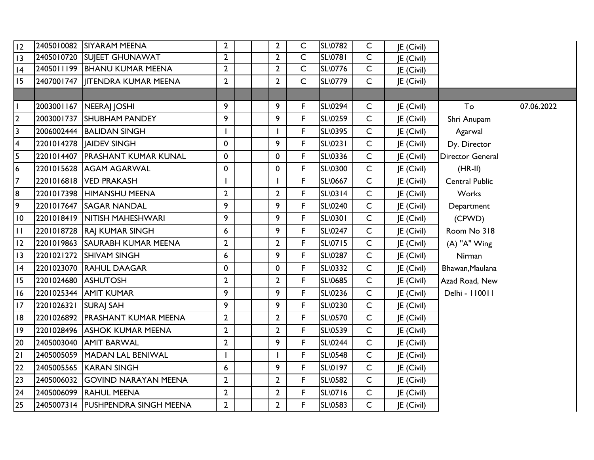| 12              |                     | 2405010082 SIYARAM MEENA          | $\overline{2}$   |  | $\overline{2}$ | C              | <b>SL\0782</b> | $\mathsf{C}$   | <b>JE</b> (Civil) |                       |            |
|-----------------|---------------------|-----------------------------------|------------------|--|----------------|----------------|----------------|----------------|-------------------|-----------------------|------------|
| 13              |                     | 2405010720 SUJEET GHUNAWAT        | $\overline{2}$   |  | $\overline{2}$ | $\overline{C}$ | <b>SL\0781</b> | $\overline{C}$ | JE (Civil)        |                       |            |
| 4               |                     | 2405011199 BHANU KUMAR MEENA      | $\overline{2}$   |  | $\overline{2}$ | $\mathsf{C}$   | <b>SL\0776</b> | $\overline{C}$ | JE (Civil)        |                       |            |
| 15              |                     | 2407001747   JITENDRA KUMAR MEENA | $\overline{2}$   |  | $\overline{2}$ | C              | <b>SL\0779</b> | $\mathsf{C}$   | JE (Civil)        |                       |            |
|                 |                     |                                   |                  |  |                |                |                |                |                   |                       |            |
|                 |                     | 2003001167   NEERAJ JOSHI         | 9                |  | 9              | F              | <b>SL\0294</b> | $\mathsf{C}$   | JE (Civil)        | To                    | 07.06.2022 |
| $\overline{2}$  |                     | 2003001737 SHUBHAM PANDEY         | 9                |  | 9              | F              | SL\0259        | $\mathsf{C}$   | JE (Civil)        | Shri Anupam           |            |
| 3               |                     | 2006002444 BALIDAN SINGH          |                  |  |                | F              | SL\0395        | $\mathsf{C}$   | JE (Civil)        | Agarwal               |            |
| 4               |                     | 2201014278   AIDEV SINGH          | 0                |  | 9              | $\mathsf F$    | SL\0231        | $\mathsf{C}$   | JE (Civil)        | Dy. Director          |            |
| 5               |                     | 2201014407 PRASHANT KUMAR KUNAL   | 0                |  | 0              | F              | SL\0336        | $\mathsf{C}$   | JE (Civil)        | Director General      |            |
| 6               |                     | 2201015628 AGAM AGARWAL           | 0                |  | 0              | F              | SL\0300        | $\mathsf{C}$   | JE (Civil)        | $(HR-II)$             |            |
| $\overline{7}$  |                     | 2201016818 VED PRAKASH            |                  |  |                | F              | SL\0667        | $\mathsf{C}$   | JE (Civil)        | <b>Central Public</b> |            |
| 8               |                     | 2201017398 HIMANSHU MEENA         | $\overline{2}$   |  | $\overline{2}$ | $\mathsf F$    | <b>SL\0314</b> | $\mathsf{C}$   | JE (Civil)        | Works                 |            |
| 9               |                     | 2201017647 SAGAR NANDAL           | 9                |  | 9              | F              | SL\0240        | $\mathsf{C}$   | JE (Civil)        | Department            |            |
| $\overline{10}$ |                     | 2201018419  NITISH MAHESHWARI     | 9                |  | 9              | F              | SL\0301        | $\mathsf{C}$   | JE (Civil)        | (CPWD)                |            |
| $\mathbf{H}$    |                     | 2201018728 RAJ KUMAR SINGH        | 6                |  | 9              | F              | SL\0247        | $\mathsf{C}$   | JE (Civil)        | Room No 318           |            |
| 12              |                     | 2201019863 SAURABH KUMAR MEENA    | $\overline{2}$   |  | $\overline{2}$ | $\mathsf F$    | SL\0715        | $\mathsf{C}$   | JE (Civil)        | (A) "A" Wing          |            |
| 3               |                     | 2201021272 SHIVAM SINGH           | 6                |  | 9              | F              | SL\0287        | $\mathsf{C}$   | JE (Civil)        | Nirman                |            |
| 4               |                     | 2201023070 RAHUL DAAGAR           | 0                |  | 0              | $\mathsf F$    | SL\0332        | $\mathsf{C}$   | JE (Civil)        | Bhawan, Maulana       |            |
| 15              | 2201024680 ASHUTOSH |                                   | $\mathbf{2}$     |  | $\overline{2}$ | F              | SL\0685        | $\mathsf{C}$   | JE (Civil)        | Azad Road, New        |            |
| 16              |                     | 2201025344 AMIT KUMAR             | 9                |  | 9              | $\mathsf F$    | SL\0236        | $\mathsf{C}$   | JE (Civil)        | Delhi - 110011        |            |
| 17              | 2201026321          | <b>SURAJ SAH</b>                  | 9                |  | 9              | F              | SL\0230        | $\mathsf{C}$   | JE (Civil)        |                       |            |
| 18              |                     | 2201026892 PRASHANT KUMAR MEENA   | $\mathbf{2}$     |  | $\overline{2}$ | F              | SL\0570        | $\mathsf{C}$   | JE (Civil)        |                       |            |
| 9               |                     | 2201028496 ASHOK KUMAR MEENA      | $\overline{2}$   |  | $\overline{2}$ | F              | SL\0539        | $\mathsf{C}$   | JE (Civil)        |                       |            |
| 20              |                     | 2405003040 AMIT BARWAL            | $\overline{2}$   |  | 9              | F              | SL\0244        | $\mathsf{C}$   | JE (Civil)        |                       |            |
| 21              |                     | 2405005059 MADAN LAL BENIWAL      |                  |  |                | F              | <b>SL\0548</b> | $\mathsf{C}$   | JE (Civil)        |                       |            |
| 22              |                     | 2405005565 KARAN SINGH            | 6                |  | 9              | F              | SL\0197        | $\mathsf{C}$   | JE (Civil)        |                       |            |
| 23              |                     | 2405006032 GOVIND NARAYAN MEENA   | $\overline{2}$   |  | $\overline{2}$ | F              | SL\0582        | $\mathsf{C}$   | JE (Civil)        |                       |            |
| 24              |                     | 2405006099 RAHUL MEENA            | $\mathbf{2}$     |  | $\overline{2}$ | $\mathsf F$    | SL\0716        | $\mathsf{C}$   | JE (Civil)        |                       |            |
| 25              |                     | 2405007314 PUSHPENDRA SINGH MEENA | $2 \overline{ }$ |  | $2^{\circ}$    | F              | SL\0583        | $\mathsf{C}$   | JE (Civil)        |                       |            |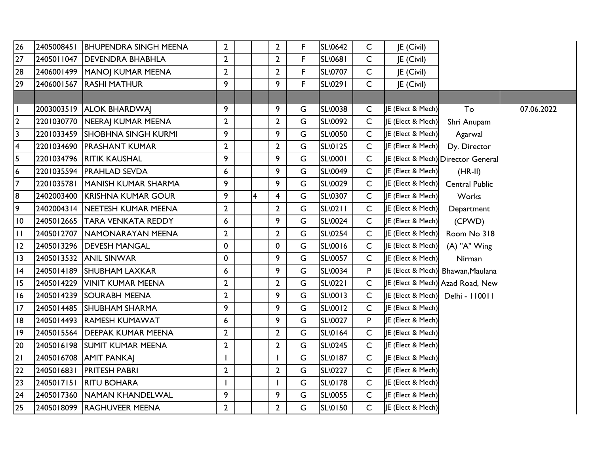| $\overline{26}$         |            | 2405008451 BHUPENDRA SINGH MEENA | $\mathbf{2}$   |                         | $2^{\circ}$    | F | <b>SL\0642</b> | $\mathsf{C}$ | JE (Civil)                   |                                    |            |
|-------------------------|------------|----------------------------------|----------------|-------------------------|----------------|---|----------------|--------------|------------------------------|------------------------------------|------------|
| 27                      |            | 2405011047   DEVENDRA BHABHLA    | $\overline{2}$ |                         | $\overline{2}$ | F | SL\0681        | $\mathsf{C}$ | JE (Civil)                   |                                    |            |
| 28                      |            | 2406001499   MANOJ KUMAR MEENA   | $\overline{2}$ |                         | $\overline{2}$ | F | <b>SL\0707</b> | $\mathsf{C}$ | JE (Civil)                   |                                    |            |
| 29                      |            | 2406001567 RASHI MATHUR          | 9              |                         | 9              | F | SL\0291        | $\mathsf{C}$ | JE (Civil)                   |                                    |            |
|                         |            |                                  |                |                         |                |   |                |              |                              |                                    |            |
| $\overline{1}$          |            | 2003003519 ALOK BHARDWAJ         | 9              |                         | 9              | G | SL\0038        | $\mathsf{C}$ | JE (Elect & Mech)            | To                                 | 07.06.2022 |
| $\overline{2}$          |            | 2201030770   NEERAJ KUMAR MEENA  | $\overline{2}$ |                         | $\overline{2}$ | G | <b>SL\0092</b> | $\mathsf{C}$ | <b>JE (Elect &amp; Mech)</b> | Shri Anupam                        |            |
| $\overline{3}$          |            | 2201033459 SHOBHNA SINGH KURMI   | 9              |                         | 9              | G | SL\0050        | $\mathsf{C}$ | JE (Elect & Mech)            | Agarwal                            |            |
| $\overline{\mathbf{4}}$ |            | 2201034690 PRASHANT KUMAR        | $\overline{2}$ |                         | $\overline{2}$ | G | <b>SL\0125</b> | C            | JE (Elect & Mech)            | Dy. Director                       |            |
| 5                       |            | 2201034796 RITIK KAUSHAL         | 9              |                         | 9              | G | SL\0001        | $\mathsf{C}$ |                              | IE (Elect & Mech) Director General |            |
| $\overline{6}$          |            | 2201035594   PRAHLAD SEVDA       | 6              |                         | 9              | G | SL\0049        | C            | JE (Elect & Mech)            | $(HR-II)$                          |            |
| $\overline{7}$          |            | 2201035781 MANISH KUMAR SHARMA   | 9              |                         | 9              | G | SL\0029        | $\mathsf{C}$ | JE (Elect & Mech)            | <b>Central Public</b>              |            |
| 8                       |            | 2402003400 KRISHNA KUMAR GOUR    | 9              | $\overline{\mathbf{4}}$ | 4              | G | <b>SL\0307</b> | $\mathsf{C}$ | JE (Elect & Mech)            | Works                              |            |
| 9                       |            | 2402004314 NEETESH KUMAR MEENA   | $\overline{2}$ |                         | $\overline{2}$ | G | SL\0211        | $\mathsf{C}$ | JE (Elect & Mech)            | Department                         |            |
| $\overline{0}$          |            | 2405012665 TARA VENKATA REDDY    | $6\phantom{1}$ |                         | 9              | G | <b>SL\0024</b> | C            | JE (Elect & Mech)            | (CPWD)                             |            |
| ĪТ                      |            | 2405012707   NAMONARAYAN MEENA   | $\overline{2}$ |                         | $\overline{2}$ | G | SL\0254        | $\mathsf{C}$ | JE (Elect & Mech)            | Room No 318                        |            |
| 12                      |            | 2405013296   DEVESH MANGAL       | 0              |                         | 0              | G | SL\0016        | C            | JE (Elect & Mech)            | (A) "A" Wing                       |            |
| 13                      |            | 2405013532 ANIL SINWAR           | 0              |                         | 9              | G | SL\0057        | $\mathsf{C}$ | JE (Elect & Mech)            | Nirman                             |            |
| 4                       |            | 2405014189 SHUBHAM LAXKAR        | 6              |                         | 9              | G | SL\0034        | P            |                              | JE (Elect & Mech) Bhawan, Maulana  |            |
| 15                      | 2405014229 | <b>VINIT KUMAR MEENA</b>         | $\overline{2}$ |                         | $\overline{2}$ | G | SL\0221        | $\mathsf{C}$ |                              | IE (Elect & Mech) Azad Road, New   |            |
| 16                      |            | 2405014239 SOURABH MEENA         | $\overline{2}$ |                         | 9              | G | SL\0013        | $\mathsf{C}$ | JE (Elect & Mech)            | Delhi - 110011                     |            |
| 17                      |            | 2405014485 SHUBHAM SHARMA        | 9              |                         | 9              | G | SL\0012        | $\mathsf{C}$ | JE (Elect & Mech)            |                                    |            |
| 18                      |            | 2405014493 RAMESH KUMAWAT        | 6              |                         | 9              | G | SL\0027        | P            | JE (Elect & Mech)            |                                    |            |
| $ 19\rangle$            |            | 2405015564 DEEPAK KUMAR MEENA    | $\overline{2}$ |                         | $\overline{2}$ | G | SL\0164        | C            | JE (Elect & Mech)            |                                    |            |
| 20                      |            | 2405016198 SUMIT KUMAR MEENA     | $\mathbf{2}$   |                         | $\overline{2}$ | G | SL\0245        | $\mathsf{C}$ | JE (Elect & Mech)            |                                    |            |
| 21                      |            | 2405016708 AMIT PANKAJ           |                |                         |                | G | SL\0187        | C            | JE (Elect & Mech)            |                                    |            |
| 22                      | 2405016831 | <b>PRITESH PABRI</b>             | $\overline{2}$ |                         | $\overline{2}$ | G | SL\0227        | $\mathsf{C}$ | JE (Elect & Mech)            |                                    |            |
| $\overline{23}$         | 2405017151 | <b>RITU BOHARA</b>               |                |                         |                | G | <b>SL\0178</b> | C            | JE (Elect & Mech)            |                                    |            |
| 24                      |            | 2405017360 NAMAN KHANDELWAL      | 9              |                         | 9              | G | SL\0055        | $\mathsf{C}$ | JE (Elect & Mech)            |                                    |            |
| $\frac{25}{25}$         |            | 2405018099 RAGHUVEER MEENA       | $\overline{2}$ |                         | $2^{\circ}$    | G | SL\0150        | $\mathsf{C}$ | JE (Elect & Mech)            |                                    |            |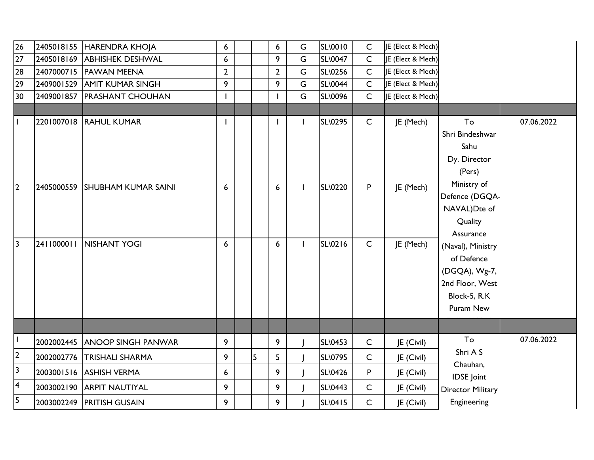| 26                      |            | 2405018155 HARENDRA KHOJA      | 6              |   | 6              | G            | SL\0010        | $\mathsf{C}$ | JE (Elect & Mech) |                          |            |
|-------------------------|------------|--------------------------------|----------------|---|----------------|--------------|----------------|--------------|-------------------|--------------------------|------------|
| 27                      |            | 2405018169 ABHISHEK DESHWAL    | 6              |   | 9              | G            | <b>SL\0047</b> | $\mathsf{C}$ | JE (Elect & Mech) |                          |            |
| 28                      |            | 2407000715 PAWAN MEENA         | $\overline{2}$ |   | $\overline{2}$ | G            | SL\0256        | $\mathsf{C}$ | JE (Elect & Mech) |                          |            |
| 29                      |            | 2409001529 AMIT KUMAR SINGH    | 9              |   | 9              | G            | <b>SL\0044</b> | $\mathsf{C}$ | JE (Elect & Mech) |                          |            |
| 30                      |            | 2409001857 PRASHANT CHOUHAN    |                |   |                | G            | SL\0096        | $\mathsf{C}$ | JE (Elect & Mech) |                          |            |
|                         |            |                                |                |   |                |              |                |              |                   |                          |            |
| $\mathbf{I}$            |            | 2201007018 RAHUL KUMAR         |                |   | -1             | $\mathbf{I}$ | <b>SL\0295</b> | $\mathsf{C}$ | JE (Mech)         | To<br>Shri Bindeshwar    | 07.06.2022 |
|                         |            |                                |                |   |                |              |                |              |                   | Sahu                     |            |
|                         |            |                                |                |   |                |              |                |              |                   | Dy. Director             |            |
|                         |            |                                |                |   |                |              |                |              |                   | (Pers)                   |            |
| 2                       |            | 2405000559 SHUBHAM KUMAR SAINI | 6              |   | 6              | $\mathbf{I}$ | <b>SL\0220</b> | P            | JE (Mech)         | Ministry of              |            |
|                         |            |                                |                |   |                |              |                |              |                   | Defence (DGQA-           |            |
|                         |            |                                |                |   |                |              |                |              |                   | NAVAL)Dte of             |            |
|                         |            |                                |                |   |                |              |                |              |                   | Quality                  |            |
|                         |            |                                |                |   |                |              |                |              |                   | Assurance                |            |
| 3                       | 2411000011 | NISHANT YOGI                   | 6              |   | 6              |              | SL\0216        | $\mathsf{C}$ | JE (Mech)         | (Naval), Ministry        |            |
|                         |            |                                |                |   |                |              |                |              |                   | of Defence               |            |
|                         |            |                                |                |   |                |              |                |              |                   | (DGQA), Wg-7,            |            |
|                         |            |                                |                |   |                |              |                |              |                   | 2nd Floor, West          |            |
|                         |            |                                |                |   |                |              |                |              |                   | Block-5, R.K             |            |
|                         |            |                                |                |   |                |              |                |              |                   | Puram New                |            |
|                         |            |                                |                |   |                |              |                |              |                   |                          |            |
|                         |            | 2002002445 ANOOP SINGH PANWAR  | 9              |   | 9              |              | <b>SL\0453</b> | $\mathsf C$  | JE (Civil)        | To                       | 07.06.2022 |
| $\overline{2}$          | 2002002776 | <b>TRISHALI SHARMA</b>         | 9              | 5 | 5              |              | SL\0795        | C            | JE (Civil)        | Shri A S<br>Chauhan,     |            |
| $\overline{\mathbf{3}}$ |            | 2003001516 ASHISH VERMA        | 6              |   | 9              |              | SL\0426        | P            | JE (Civil)        | <b>IDSE</b> Joint        |            |
| 4                       | 2003002190 | <b>ARPIT NAUTIYAL</b>          | 9              |   | 9              |              | SL\0443        | $\mathsf{C}$ | JE (Civil)        | <b>Director Military</b> |            |
| 5                       |            | 2003002249 PRITISH GUSAIN      | 9              |   | 9              |              | SL\0415        | $\mathsf{C}$ | JE (Civil)        | Engineering              |            |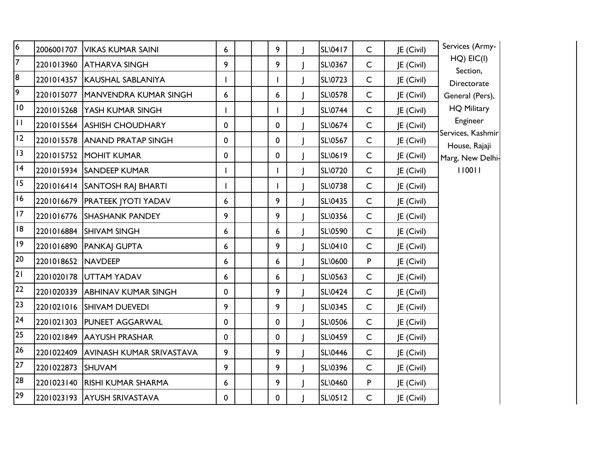| $\overline{6}$  |                    | 2006001707   VIKAS KUMAR SAINI     | 6           |  | 9           | SL\0417        | $\mathsf{C}$ | JE (Civil) | Services (Army-                    |
|-----------------|--------------------|------------------------------------|-------------|--|-------------|----------------|--------------|------------|------------------------------------|
| $\overline{7}$  | 2201013960         | <b>ATHARVA SINGH</b>               | 9           |  | 9           | SL\0367        | $\mathsf{C}$ | JE (Civil) | $HQ)$ $EIC(I)$                     |
| 8               | 2201014357         | <b>KAUSHAL SABLANIYA</b>           |             |  |             | <b>SL\0723</b> | $\mathsf{C}$ | JE (Civil) | Section,<br>Directorate            |
| 9               |                    | 2201015077   MANVENDRA KUMAR SINGH | 6           |  | 6           | SL\0578        | $\mathsf{C}$ | JE (Civil) | General (Pers),                    |
| $\overline{10}$ |                    | 2201015268 YASH KUMAR SINGH        |             |  |             | SL\0744        | $\mathsf{C}$ | JE (Civil) | <b>HQ Military</b>                 |
| $\mathbf{H}$    |                    | 2201015564 ASHISH CHOUDHARY        | 0           |  | 0           | SL\0674        | $\mathsf{C}$ | JE (Civil) | Engineer                           |
| 12              |                    | 2201015578 ANAND PRATAP SINGH      | 0           |  | $\mathbf 0$ | <b>SL\0567</b> | $\mathsf{C}$ | JE (Civil) | Services, Kashmir<br>House, Rajaji |
| 3               |                    | 2201015752 MOHIT KUMAR             | 0           |  | 0           | SL\0619        | $\mathsf{C}$ | JE (Civil) | Marg, New Delhi-                   |
| 4               |                    | 2201015934 SANDEEP KUMAR           |             |  |             | SL\0720        | $\mathsf{C}$ | JE (Civil) | 110011                             |
| 15              |                    | 2201016414 SANTOSH RAJ BHARTI      |             |  |             | SL\0738        | $\mathsf{C}$ | JE (Civil) |                                    |
| 16              |                    | 2201016679   PRATEEK JYOTI YADAV   | 6           |  | 9           | SL\0435        | $\mathsf{C}$ | JE (Civil) |                                    |
| 17              |                    | 2201016776 SHASHANK PANDEY         | 9           |  | 9           | <b>SL\0356</b> | $\mathsf{C}$ | JE (Civil) |                                    |
| 8               |                    | 2201016884 SHIVAM SINGH            | 6           |  | 6           | <b>SL\0590</b> | $\mathsf{C}$ | JE (Civil) |                                    |
| 9               |                    | 2201016890 PANKAJ GUPTA            | 6           |  | 9           | SL\0410        | $\mathsf{C}$ | JE (Civil) |                                    |
| 20              | 2201018652 NAVDEEP |                                    | 6           |  | 6           | SL\0600        | P            | JE (Civil) |                                    |
| 21              |                    | 2201020178 UTTAM YADAV             | 6           |  | 6           | SL\0563        | $\mathsf{C}$ | JE (Civil) |                                    |
| 22              |                    | 2201020339 ABHINAV KUMAR SINGH     | 0           |  | 9           | <b>SL\0424</b> | $\mathsf{C}$ | JE (Civil) |                                    |
| 23              |                    | 2201021016 SHIVAM DUEVEDI          | 9           |  | 9           | <b>SL\0345</b> | $\mathsf{C}$ | JE (Civil) |                                    |
| 24              | 2201021303         | <b>PUNEET AGGARWAL</b>             | $\mathbf 0$ |  | $\mathbf 0$ | <b>SL\0506</b> | $\mathsf{C}$ | JE (Civil) |                                    |
| 25              | 2201021849         | <b>AAYUSH PRASHAR</b>              | $\mathbf 0$ |  | 0           | SL\0459        | $\mathsf{C}$ | JE (Civil) |                                    |
| 26              | 2201022409         | AVINASH KUMAR SRIVASTAVA           | 9           |  | 9           | SL\0446        | $\mathsf{C}$ | JE (Civil) |                                    |
| 27              | 2201022873         | <b>ISHUVAM</b>                     | 9           |  | 9           | SL\0396        | $\mathsf{C}$ | JE (Civil) |                                    |
| 28              |                    | 2201023140 RISHI KUMAR SHARMA      | 6           |  | 9           | <b>SL\0460</b> | P            | JE (Civil) |                                    |
| 29              |                    | 2201023193 AYUSH SRIVASTAVA        | $\mathbf 0$ |  | 0           | <b>SL\0512</b> | $\mathsf{C}$ | JE (Civil) |                                    |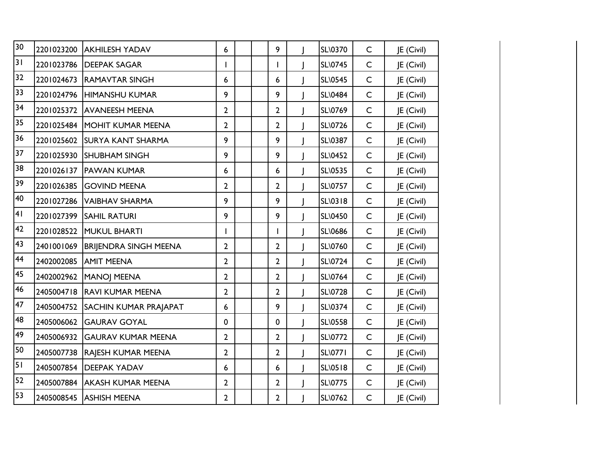| 30 | 2201023200 | <b>AKHILESH YADAV</b>        | 6              |  | 9              | SL\0370        | $\mathsf{C}$ | JE (Civil) |
|----|------------|------------------------------|----------------|--|----------------|----------------|--------------|------------|
| 3  | 2201023786 | <b>DEEPAK SAGAR</b>          | $\mathbf{I}$   |  | ı              | SL\0745        | $\mathsf{C}$ | JE (Civil) |
| 32 | 2201024673 | <b>RAMAVTAR SINGH</b>        | 6              |  | 6              | <b>SL\0545</b> | $\mathsf C$  | JE (Civil) |
| 33 | 2201024796 | <b>HIMANSHU KUMAR</b>        | 9              |  | 9              | <b>SL\0484</b> | $\mathsf C$  | JE (Civil) |
| 34 |            | 2201025372 AVANEESH MEENA    | $\overline{2}$ |  | $\overline{2}$ | SL\0769        | $\mathsf C$  | JE (Civil) |
| 35 |            | 2201025484 MOHIT KUMAR MEENA | $\overline{2}$ |  | $\overline{2}$ | <b>SL\0726</b> | $\mathsf{C}$ | JE (Civil) |
| 36 | 2201025602 | <b>SURYA KANT SHARMA</b>     | 9              |  | 9              | SL\0387        | $\mathsf{C}$ | JE (Civil) |
| 37 | 2201025930 | <b>SHUBHAM SINGH</b>         | 9              |  | 9              | SL\0452        | $\mathsf{C}$ | JE (Civil) |
| 38 | 2201026137 | <b>PAWAN KUMAR</b>           | 6              |  | 6              | <b>SL\0535</b> | $\mathsf{C}$ | JE (Civil) |
| 39 | 2201026385 | <b>GOVIND MEENA</b>          | $\overline{2}$ |  | $\overline{2}$ | <b>SL\0757</b> | $\mathsf{C}$ | JE (Civil) |
| 40 | 2201027286 | <b>VAIBHAV SHARMA</b>        | 9              |  | 9              | SL\0318        | $\mathsf C$  | JE (Civil) |
| 4  | 2201027399 | <b>SAHIL RATURI</b>          | 9              |  | 9              | SL\0450        | $\mathsf C$  | JE (Civil) |
| 42 | 2201028522 | <b>MUKUL BHARTI</b>          | $\mathbf{I}$   |  | ı              | SL\0686        | $\mathsf C$  | JE (Civil) |
| 43 | 2401001069 | <b>BRIJENDRA SINGH MEENA</b> | $\overline{2}$ |  | $\overline{2}$ | SL\0760        | $\mathsf C$  | JE (Civil) |
| 44 | 2402002085 | <b>AMIT MEENA</b>            | $\overline{2}$ |  | $\overline{2}$ | <b>SL\0724</b> | $\mathsf{C}$ | JE (Civil) |
| 45 | 2402002962 | <b>MANOJ MEENA</b>           | 2              |  | $\overline{2}$ | <b>SL\0764</b> | $\mathsf{C}$ | JE (Civil) |
| 46 | 2405004718 | <b>RAVI KUMAR MEENA</b>      | $\overline{2}$ |  | $\overline{2}$ | <b>SL\0728</b> | $\mathsf{C}$ | JE (Civil) |
| 47 | 2405004752 | <b>SACHIN KUMAR PRAJAPAT</b> | 6              |  | 9              | <b>SL\0374</b> | $\mathsf{C}$ | JE (Civil) |
| 48 | 2405006062 | <b>GAURAV GOYAL</b>          | $\mathbf 0$    |  | $\mathbf 0$    | <b>SL\0558</b> | $\mathsf{C}$ | JE (Civil) |
| 49 | 2405006932 | <b>GAURAV KUMAR MEENA</b>    | $\overline{2}$ |  | $\overline{2}$ | <b>SL\0772</b> | $\mathsf C$  | JE (Civil) |
| 50 | 2405007738 | RAJESH KUMAR MEENA           | $\overline{2}$ |  | $\mathbf{2}$   | <b>SL\0771</b> | $\mathsf{C}$ | JE (Civil) |
| 51 | 2405007854 | <b>DEEPAK YADAV</b>          | 6              |  | 6              | <b>SL\0518</b> | $\mathsf C$  | JE (Civil) |
| 52 | 2405007884 | <b>AKASH KUMAR MEENA</b>     | $\overline{2}$ |  | $\overline{2}$ | <b>SL\0775</b> | $\mathsf{C}$ | JE (Civil) |
| 53 |            | 2405008545 ASHISH MEENA      | $\overline{2}$ |  | $\overline{2}$ | SL\0762        | $\mathsf{C}$ | JE (Civil) |
|    |            |                              |                |  |                |                |              |            |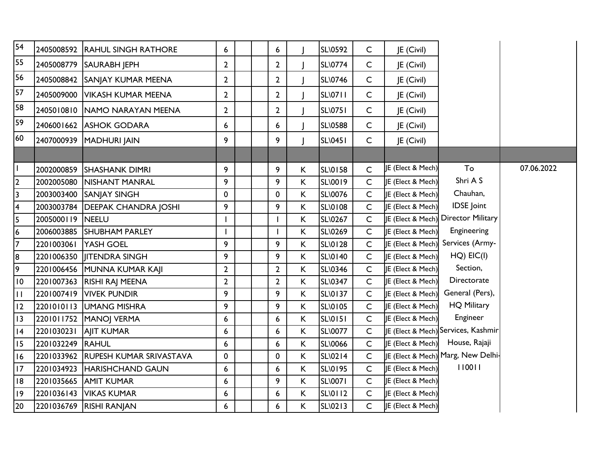| 54                      |                  | 2405008592 RAHUL SINGH RATHORE     | 6              |  | 6              |              | SL\0592        | $\mathsf{C}$ | JE (Civil)                   |                                     |            |
|-------------------------|------------------|------------------------------------|----------------|--|----------------|--------------|----------------|--------------|------------------------------|-------------------------------------|------------|
| 55                      | 2405008779       | <b>SAURABH JEPH</b>                | $\overline{2}$ |  | $\overline{2}$ |              | <b>SL\0774</b> | $\mathsf C$  | JE (Civil)                   |                                     |            |
| 56                      |                  | 2405008842 SANJAY KUMAR MEENA      | $\mathbf{2}$   |  | $\mathbf{2}$   |              | <b>SL\0746</b> | $\mathsf{C}$ | JE (Civil)                   |                                     |            |
| 57                      | 2405009000       | <b>VIKASH KUMAR MEENA</b>          | $\overline{2}$ |  | $\overline{2}$ |              | <b>SL\0711</b> | C            | JE (Civil)                   |                                     |            |
| 58                      | 2405010810       | <b>INAMO NARAYAN MEENA</b>         | $\overline{2}$ |  | $\overline{2}$ |              | <b>SL\0751</b> | C            | JE (Civil)                   |                                     |            |
| 59                      |                  | 2406001662 ASHOK GODARA            | 6              |  | 6              |              | <b>SL\0588</b> | $\mathsf{C}$ | JE (Civil)                   |                                     |            |
| 60                      | 2407000939       | MADHURI JAIN                       | 9              |  | 9              |              | <b>SL\0451</b> | $\mathsf{C}$ | JE (Civil)                   |                                     |            |
|                         |                  |                                    |                |  |                |              |                |              |                              |                                     |            |
| $\mathbf{I}$            | 2002000859       | <b>SHASHANK DIMRI</b>              | 9              |  | 9              | K            | <b>SL\0158</b> | C            | JE (Elect & Mech)            | To                                  | 07.06.2022 |
| $\overline{2}$          | 2002005080       | <b>NISHANT MANRAL</b>              | 9              |  | 9              | K            | <b>SL\0019</b> | $\mathsf{C}$ | <b>JE (Elect &amp; Mech)</b> | Shri A S                            |            |
| $\overline{3}$          |                  | 2003003400 SANJAY SINGH            | 0              |  | 0              | Κ            | SL\0076        | C            | JE (Elect & Mech)            | Chauhan,                            |            |
| $\overline{\mathbf{4}}$ | 2003003784       | <b>DEEPAK CHANDRA JOSHI</b>        | 9              |  | 9              | $\mathsf{K}$ | SL\0108        | $\mathsf{C}$ | JE (Elect & Mech)            | <b>IDSE</b> Joint                   |            |
| 5                       | 2005000119       | <b>INEELU</b>                      |                |  |                | K            | SL\0267        | C            |                              | JE (Elect & Mech) Director Military |            |
| $6\phantom{.}6$         | 2006003885       | <b>SHUBHAM PARLEY</b>              |                |  |                | $\sf K$      | SL\0269        | $\mathsf{C}$ | JE (Elect & Mech)            | Engineering                         |            |
| $\overline{7}$          | 2201003061       | YASH GOEL                          | 9              |  | 9              | K            | <b>SL\0128</b> | C            | JE (Elect & Mech)            | Services (Army-                     |            |
| 8                       |                  | 2201006350   ITENDRA SINGH         | 9              |  | 9              | $\sf K$      | SL\0140        | $\mathsf{C}$ | JE (Elect & Mech)            | $HQ)$ $EIC(I)$                      |            |
| $\overline{9}$          |                  | 2201006456 MUNNA KUMAR KAJI        | $\overline{2}$ |  | $\overline{2}$ | K            | SL\0346        | $\mathsf{C}$ | JE (Elect & Mech)            | Section,                            |            |
| 10                      |                  | 2201007363 RISHI RAJ MEENA         | $\overline{2}$ |  | $\overline{2}$ | $\mathsf K$  | <b>SL\0347</b> | $\mathsf{C}$ | JE (Elect & Mech)            | Directorate                         |            |
| $\overline{11}$         |                  | 2201007419 VIVEK PUNDIR            | 9              |  | 9              | $\sf K$      | <b>SL\0137</b> | $\mathsf{C}$ | JE (Elect & Mech)            | General (Pers),                     |            |
| 12                      |                  | 2201010113 UMANG MISHRA            | 9              |  | 9              | K            | SL\0105        | $\mathsf{C}$ | JE (Elect & Mech)            | <b>HQ Military</b>                  |            |
| 13                      |                  | 2201011752 MANOJ VERMA             | 6              |  | 6              | К            | <b>SL\0151</b> | $\mathsf{C}$ | <b>JE (Elect &amp; Mech)</b> | Engineer                            |            |
| 4                       | 2201030231       | <b>AIT KUMAR</b>                   | 6              |  | 6              | K            | SL\0077        | $\mathsf{C}$ |                              | JE (Elect & Mech) Services, Kashmir |            |
| 15                      | 2201032249 RAHUL |                                    | 6              |  | 6              | K            | SL\0066        | $\mathsf{C}$ | JE (Elect & Mech)            | House, Rajaji                       |            |
| 16                      |                  | 2201033962 RUPESH KUMAR SRIVASTAVA | 0              |  | 0              | К            | SL\0214        | $\mathsf{C}$ |                              | JE (Elect & Mech) Marg, New Delhi-  |            |
| 17                      |                  | 2201034923 HARISHCHAND GAUN        | 6              |  | 6              | K            | SL\0195        | $\mathsf{C}$ | JE (Elect & Mech)            | 110011                              |            |
| 8                       |                  | 2201035665 AMIT KUMAR              | 6              |  | 9              | $\mathsf K$  | SL\0071        | $\mathsf{C}$ | JE (Elect & Mech)            |                                     |            |
| 19                      |                  | 2201036143   VIKAS KUMAR           | 6              |  | 6              | $\mathsf K$  | <b>SL\0112</b> | $\mathsf{C}$ | JE (Elect & Mech)            |                                     |            |
| 20                      |                  | 2201036769 RISHI RANJAN            | 6              |  | 6              | K.           | SL\0213        | C            | JE (Elect & Mech)            |                                     |            |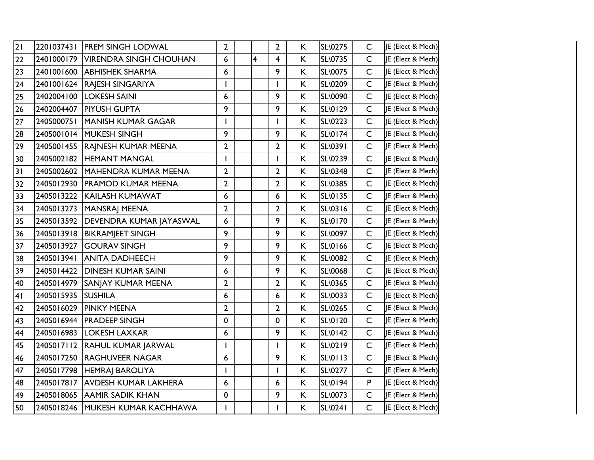| 2              |                    | 2201037431 PREM SINGH LODWAL         | $\overline{2}$ |                | $\overline{2}$          | K  | <b>SL\0275</b> | $\mathsf{C}$ | JE (Elect & Mech) |
|----------------|--------------------|--------------------------------------|----------------|----------------|-------------------------|----|----------------|--------------|-------------------|
| 22             |                    | 2401000179   VIRENDRA SINGH CHOUHAN  | 6              | $\overline{4}$ | $\overline{\mathbf{4}}$ | K. | SL\0735        | $\mathsf{C}$ | JE (Elect & Mech) |
| 23             |                    | 2401001600 ABHISHEK SHARMA           | 6              |                | 9                       | K. | SL\0075        | $\mathsf{C}$ | JE (Elect & Mech) |
| 24             |                    | 2401001624 RAJESH SINGARIYA          |                |                | ı                       | K  | SL\0209        | $\mathsf{C}$ | JE (Elect & Mech) |
| 25             |                    | 2402004100   LOKESH SAINI            | 6              |                | 9                       | K  | SL\0090        | $\mathsf{C}$ | JE (Elect & Mech) |
| 26             |                    | 2402004407   PIYUSH GUPTA            | 9              |                | 9                       | K. | SL\0129        | $\mathsf{C}$ | JE (Elect & Mech) |
| 27             | 2405000751         | <b>MANISH KUMAR GAGAR</b>            | ı              |                | ı                       | K  | SL\0223        | $\mathsf{C}$ | JE (Elect & Mech) |
| 28             |                    | 2405001014 MUKESH SINGH              | 9              |                | 9                       | K. | SL\0174        | $\mathsf{C}$ | JE (Elect & Mech) |
| 29             |                    | 2405001455 RAINESH KUMAR MEENA       | $\mathbf{2}$   |                | $\overline{2}$          | K. | SL\0391        | $\mathsf{C}$ | JE (Elect & Mech) |
| 30             |                    | 2405002182 HEMANT MANGAL             |                |                | ı                       | K. | SL\0239        | $\mathsf{C}$ | JE (Elect & Mech) |
| 31             |                    | 2405002602 MAHENDRA KUMAR MEENA      | 2              |                | $\mathbf{2}$            | K. | SL\0348        | $\mathsf{C}$ | JE (Elect & Mech) |
| 32             |                    | 2405012930 PRAMOD KUMAR MEENA        | $\overline{2}$ |                | $\overline{2}$          | K. | SL\0385        | $\mathsf{C}$ | JE (Elect & Mech) |
| 33             |                    | 2405013222 KAILASH KUMAWAT           | 6              |                | 6                       | K. | SL\0135        | $\mathsf{C}$ | JE (Elect & Mech) |
| 34             |                    | 2405013273   MANSRAJ MEENA           | $\overline{2}$ |                | $\overline{2}$          | K. | SL\0316        | $\mathsf{C}$ | JE (Elect & Mech) |
| 35             |                    | 2405013592   DEVENDRA KUMAR JAYASWAL | 6              |                | 9                       | K. | SL\0170        | $\mathsf{C}$ | JE (Elect & Mech) |
| 36             |                    | 2405013918 BIKRAMJEET SINGH          | 9              |                | 9                       | K. | SL\0097        | $\mathsf{C}$ | JE (Elect & Mech) |
| 37             |                    | 2405013927 GOURAV SINGH              | 9              |                | 9                       | K. | SL\0166        | $\mathsf{C}$ | JE (Elect & Mech) |
| 38             |                    | 2405013941 ANITA DADHEECH            | 9              |                | 9                       | K. | SL\0082        | $\mathsf{C}$ | JE (Elect & Mech) |
| 39             |                    | 2405014422 DINESH KUMAR SAINI        | 6              |                | 9                       | K. | SL\0068        | $\mathsf{C}$ | JE (Elect & Mech) |
| 40             |                    | 2405014979 SANJAY KUMAR MEENA        | $\overline{2}$ |                | $\overline{2}$          | K. | SL\0365        | $\mathsf{C}$ | JE (Elect & Mech) |
| 4 <sub>1</sub> | 2405015935 SUSHILA |                                      | 6              |                | 6                       | K  | SL\0033        | $\mathsf{C}$ | JE (Elect & Mech) |
| 42             |                    | 2405016029 PINKY MEENA               | $\mathbf{2}$   |                | $\overline{2}$          | K. | SL\0265        | $\mathsf{C}$ | JE (Elect & Mech) |
| 43             |                    | 2405016944   PRADEEP SINGH           | 0              |                | 0                       | K  | SL\0120        | $\mathsf{C}$ | JE (Elect & Mech) |
| 44             |                    | 2405016983   LOKESH LAXKAR           | 6              |                | 9                       | K. | SL\0142        | $\mathsf{C}$ | JE (Elect & Mech) |
| 45             |                    | 2405017112 RAHUL KUMAR JARWAL        | $\mathbf{I}$   |                | $\mathsf{I}$            | K. | SL\0219        | $\mathsf{C}$ | JE (Elect & Mech) |
| 46             |                    | 2405017250 RAGHUVEER NAGAR           | 6              |                | 9                       | K. | SL\0113        | $\mathsf{C}$ | JE (Elect & Mech) |
| 47             |                    | 2405017798  HEMRAJ BAROLIYA          | I              |                | $\mathsf{I}$            | K. | SL\0277        | $\mathsf{C}$ | JE (Elect & Mech) |
| 48             |                    | 2405017817 AVDESH KUMAR LAKHERA      | 6              |                | 6                       | K. | SL\0194        | P            | JE (Elect & Mech) |
| 49             |                    | 2405018065 AAMIR SADIK KHAN          | 0              |                | 9                       | K. | SL\0073        | $\mathsf{C}$ | JE (Elect & Mech) |
| 50             |                    | 2405018246 MUKESH KUMAR KACHHAWA     | $\mathsf{I}$   |                | $\mathbf{I}$            | K. | <b>SL\0241</b> | $\mathsf{C}$ | JE (Elect & Mech) |
|                |                    |                                      |                |                |                         |    |                |              |                   |